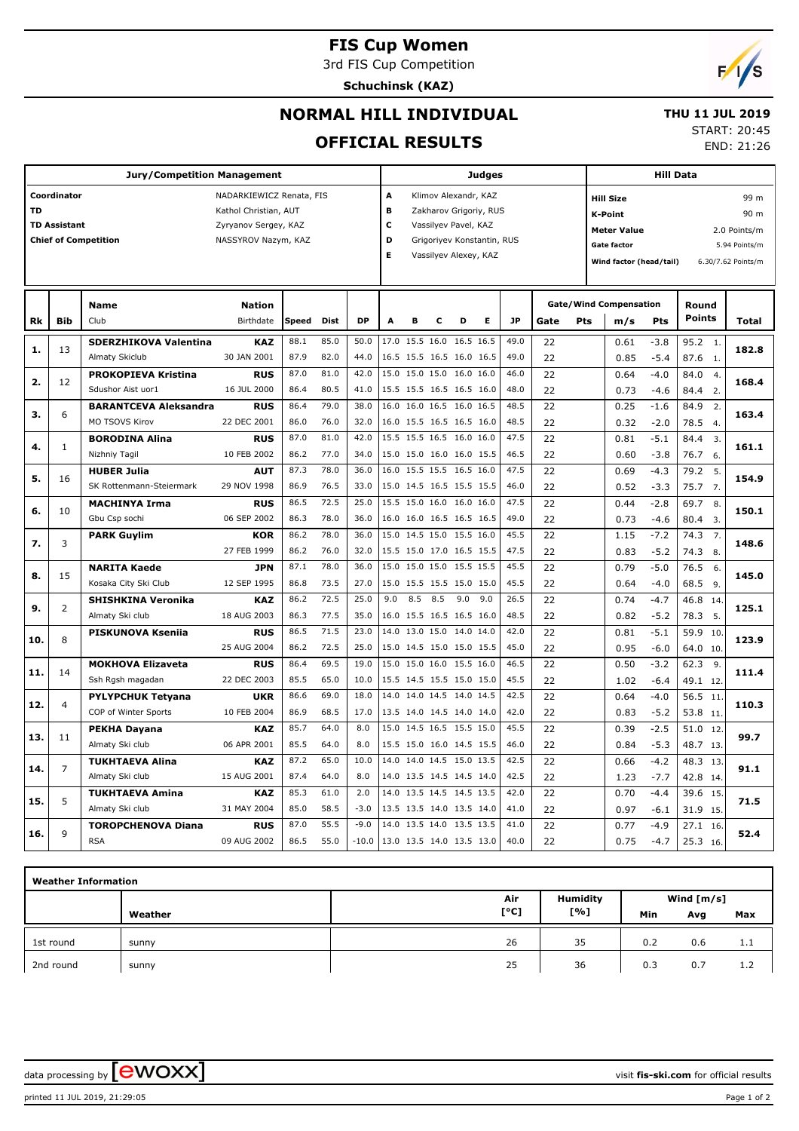# **FIS Cup Women**

3rd FIS Cup Competition

**Schuchinsk (KAZ)**



## **NORMAL HILL INDIVIDUAL**

 **THU 11 JUL 2019**

#### **OFFICIAL RESULTS**

START: 20:45

END: 21:26

|           |                                    | <b>Jury/Competition Management</b> |                                                                                                  |              |      |           |                       |                          |     |                                                                                                                               | Judges |           |      |     |                                                                                                           | <b>Hill Data</b> |                                                     |  |              |  |
|-----------|------------------------------------|------------------------------------|--------------------------------------------------------------------------------------------------|--------------|------|-----------|-----------------------|--------------------------|-----|-------------------------------------------------------------------------------------------------------------------------------|--------|-----------|------|-----|-----------------------------------------------------------------------------------------------------------|------------------|-----------------------------------------------------|--|--------------|--|
| <b>TD</b> | Coordinator<br><b>TD Assistant</b> | <b>Chief of Competition</b>        | NADARKIEWICZ Renata, FIS<br>Kathol Christian, AUT<br>Zyryanov Sergey, KAZ<br>NASSYROV Nazym, KAZ |              |      |           | A<br>в<br>с<br>D<br>E |                          |     | Klimov Alexandr, KAZ<br>Zakharov Grigoriy, RUS<br>Vassilyev Pavel, KAZ<br>Grigoriyev Konstantin, RUS<br>Vassilyev Alexey, KAZ |        |           |      |     | <b>Hill Size</b><br><b>K-Point</b><br><b>Meter Value</b><br><b>Gate factor</b><br>Wind factor (head/tail) |                  | 2.0 Points/m<br>5.94 Points/m<br>6.30/7.62 Points/m |  |              |  |
|           |                                    | <b>Name</b>                        | <b>Nation</b>                                                                                    |              |      |           |                       |                          |     |                                                                                                                               |        |           |      |     | <b>Gate/Wind Compensation</b>                                                                             | Round            |                                                     |  |              |  |
| Rk        | <b>Bib</b>                         | Club                               | Birthdate                                                                                        | <b>Speed</b> | Dist | <b>DP</b> | A                     | в                        | с   | D                                                                                                                             | E      | <b>JP</b> | Gate | Pts | m/s                                                                                                       | Pts              | <b>Points</b>                                       |  | <b>Total</b> |  |
| 1.        | 13                                 | <b>SDERZHIKOVA Valentina</b>       | <b>KAZ</b>                                                                                       | 88.1         | 85.0 | 50.0      |                       | 17.0 15.5 16.0 16.5 16.5 |     |                                                                                                                               |        | 49.0      | 22   |     | 0.61                                                                                                      | $-3.8$           | 95.2 1.                                             |  | 182.8        |  |
|           |                                    | Almaty Skiclub                     | 30 JAN 2001                                                                                      | 87.9         | 82.0 | 44.0      |                       | 16.5 15.5 16.5 16.0 16.5 |     |                                                                                                                               |        | 49.0      | 22   |     | 0.85                                                                                                      | $-5.4$           | 87.6<br>1.                                          |  |              |  |
| 2.        | 12                                 | <b>PROKOPIEVA Kristina</b>         | <b>RUS</b>                                                                                       | 87.0         | 81.0 | 42.0      | 15.0                  | 15.0 15.0                |     | 16.0 16.0                                                                                                                     |        | 46.0      | 22   |     | 0.64                                                                                                      | $-4.0$           | 84.0<br>$\overline{4}$                              |  | 168.4        |  |
|           |                                    | Sdushor Aist uor1                  | 16 JUL 2000                                                                                      | 86.4         | 80.5 | 41.0      |                       | 15.5 15.5 16.5 16.5 16.0 |     |                                                                                                                               |        | 48.0      | 22   |     | 0.73                                                                                                      | $-4.6$           | 84.4<br>2.                                          |  |              |  |
| з.        | 6                                  | <b>BARANTCEVA Aleksandra</b>       | <b>RUS</b>                                                                                       | 86.4         | 79.0 | 38.0      |                       | 16.0 16.0 16.5 16.0 16.5 |     |                                                                                                                               |        | 48.5      | 22   |     | 0.25                                                                                                      | $-1.6$           | 84.9<br>2.                                          |  | 163.4        |  |
|           |                                    | MO TSOVS Kirov                     | 22 DEC 2001                                                                                      | 86.0         | 76.0 | 32.0      |                       | 16.0 15.5 16.5 16.5 16.0 |     |                                                                                                                               |        | 48.5      | 22   |     | 0.32                                                                                                      | $-2.0$           | 78.5<br>4.                                          |  |              |  |
| 4.        | $\mathbf{1}$                       | <b>BORODINA Alina</b>              | <b>RUS</b>                                                                                       | 87.0         | 81.0 | 42.0      | 15.5                  | 15.5 16.5 16.0 16.0      |     |                                                                                                                               |        | 47.5      | 22   |     | 0.81                                                                                                      | $-5.1$           | 84.4<br>$\overline{3}$ .                            |  | 161.1        |  |
|           |                                    | Nizhniy Tagil                      | 10 FEB 2002                                                                                      | 86.2         | 77.0 | 34.0      |                       | 15.0 15.0 16.0 16.0 15.5 |     |                                                                                                                               |        | 46.5      | 22   |     | 0.60                                                                                                      | $-3.8$           | 76.7<br>6.                                          |  |              |  |
| 5.        | 16                                 | <b>HUBER Julia</b>                 | <b>AUT</b>                                                                                       | 87.3         | 78.0 | 36.0      |                       | 16.0 15.5 15.5 16.5 16.0 |     |                                                                                                                               |        | 47.5      | 22   |     | 0.69                                                                                                      | $-4.3$           | 79.2<br>5.                                          |  | 154.9        |  |
|           |                                    | SK Rottenmann-Steiermark           | 29 NOV 1998                                                                                      | 86.9         | 76.5 | 33.0      |                       | 15.0 14.5 16.5 15.5 15.5 |     |                                                                                                                               |        | 46.0      | 22   |     | 0.52                                                                                                      | $-3.3$           | 75.7 7.                                             |  |              |  |
| 6.        | 10                                 | <b>MACHINYA Irma</b>               | <b>RUS</b>                                                                                       | 86.5         | 72.5 | 25.0      |                       | 15.5 15.0 16.0 16.0 16.0 |     |                                                                                                                               |        | 47.5      | 22   |     | 0.44                                                                                                      | $-2.8$           | 69.7<br>8.                                          |  | 150.1        |  |
|           |                                    | Gbu Csp sochi                      | 06 SEP 2002                                                                                      | 86.3         | 78.0 | 36.0      |                       | 16.0 16.0 16.5 16.5 16.5 |     |                                                                                                                               |        | 49.0      | 22   |     | 0.73                                                                                                      | $-4.6$           | 80.4<br>3.                                          |  |              |  |
| 7.        | 3                                  | <b>PARK Guylim</b>                 | <b>KOR</b>                                                                                       | 86.2         | 78.0 | 36.0      |                       | 15.0 14.5 15.0 15.5 16.0 |     |                                                                                                                               |        | 45.5      | 22   |     | 1.15                                                                                                      | $-7.2$           | 74.3<br>7.                                          |  | 148.6        |  |
|           |                                    |                                    | 27 FEB 1999                                                                                      | 86.2         | 76.0 | 32.0      |                       | 15.5 15.0 17.0 16.5 15.5 |     |                                                                                                                               |        | 47.5      | 22   |     | 0.83                                                                                                      | $-5.2$           | 74.3<br>8.                                          |  |              |  |
| 8.        | 15                                 | <b>NARITA Kaede</b>                | <b>JPN</b>                                                                                       | 87.1         | 78.0 | 36.0      |                       | 15.0 15.0 15.0 15.5 15.5 |     |                                                                                                                               |        | 45.5      | 22   |     | 0.79                                                                                                      | $-5.0$           | 76.5<br>6.                                          |  | 145.0        |  |
|           |                                    | Kosaka City Ski Club               | 12 SEP 1995                                                                                      | 86.8         | 73.5 | 27.0      |                       | 15.0 15.5 15.5 15.0 15.0 |     |                                                                                                                               |        | 45.5      | 22   |     | 0.64                                                                                                      | $-4.0$           | 68.5<br>9.                                          |  |              |  |
| 9.        | $\overline{2}$                     | <b>SHISHKINA Veronika</b>          | <b>KAZ</b>                                                                                       | 86.2         | 72.5 | 25.0      | 9.0                   | 8.5                      | 8.5 | 9.0                                                                                                                           | 9.0    | 26.5      | 22   |     | 0.74                                                                                                      | $-4.7$           | 46.8<br>14                                          |  | 125.1        |  |
|           |                                    | Almaty Ski club                    | 18 AUG 2003                                                                                      | 86.3         | 77.5 | 35.0      |                       | 16.0 15.5 16.5 16.5 16.0 |     |                                                                                                                               |        | 48.5      | 22   |     | 0.82                                                                                                      | $-5.2$           | 78.3<br>-5.                                         |  |              |  |
| 10.       | 8                                  | PISKUNOVA Kseniia                  | <b>RUS</b>                                                                                       | 86.5         | 71.5 | 23.0      |                       | 14.0 13.0 15.0 14.0 14.0 |     |                                                                                                                               |        | 42.0      | 22   |     | 0.81                                                                                                      | $-5.1$           | 59.9<br>10                                          |  | 123.9        |  |
|           |                                    |                                    | 25 AUG 2004                                                                                      | 86.2         | 72.5 | 25.0      |                       | 15.0 14.5 15.0 15.0 15.5 |     |                                                                                                                               |        | 45.0      | 22   |     | 0.95                                                                                                      | $-6.0$           | 64.0 10.                                            |  |              |  |
| 11.       | 14                                 | <b>MOKHOVA Elizaveta</b>           | <b>RUS</b>                                                                                       | 86.4         | 69.5 | 19.0      |                       | 15.0 15.0 16.0 15.5 16.0 |     |                                                                                                                               |        | 46.5      | 22   |     | 0.50                                                                                                      | $-3.2$           | 62.3<br>9.                                          |  | 111.4        |  |
|           |                                    | Ssh Rgsh magadan                   | 22 DEC 2003                                                                                      | 85.5         | 65.0 | 10.0      |                       | 15.5 14.5 15.5 15.0 15.0 |     |                                                                                                                               |        | 45.5      | 22   |     | 1.02                                                                                                      | $-6.4$           | 49.1 12                                             |  |              |  |
| 12.       | 4                                  | <b>PYLYPCHUK Tetyana</b>           | <b>UKR</b>                                                                                       | 86.6         | 69.0 | 18.0      |                       | 14.0 14.0 14.5 14.0 14.5 |     |                                                                                                                               |        | 42.5      | 22   |     | 0.64                                                                                                      | $-4.0$           | 56.5 11                                             |  | 110.3        |  |
|           |                                    | COP of Winter Sports               | 10 FEB 2004                                                                                      | 86.9         | 68.5 | 17.0      |                       | 13.5 14.0 14.5 14.0 14.0 |     |                                                                                                                               |        | 42.0      | 22   |     | 0.83                                                                                                      | $-5.2$           | 53.8 11.                                            |  |              |  |
| 13.       | 11                                 | <b>PEKHA Dayana</b>                | <b>KAZ</b>                                                                                       | 85.7         | 64.0 | 8.0       | 15.0                  | 14.5 16.5 15.5 15.0      |     |                                                                                                                               |        | 45.5      | 22   |     | 0.39                                                                                                      | $-2.5$           | 51.0<br>12.                                         |  | 99.7         |  |
|           |                                    | Almaty Ski club                    | 06 APR 2001                                                                                      | 85.5         | 64.0 | 8.0       |                       | 15.5 15.0 16.0 14.5 15.5 |     |                                                                                                                               |        | 46.0      | 22   |     | 0.84                                                                                                      | $-5.3$           | 48.7 13.                                            |  |              |  |
| 14.       | $\overline{7}$                     | <b>TUKHTAEVA Alina</b>             | <b>KAZ</b>                                                                                       | 87.2         | 65.0 | 10.0      |                       | 14.0 14.0 14.5 15.0 13.5 |     |                                                                                                                               |        | 42.5      | 22   |     | 0.66                                                                                                      | $-4.2$           | 48.3<br>13.                                         |  | 91.1         |  |
|           |                                    | Almaty Ski club                    | 15 AUG 2001                                                                                      | 87.4         | 64.0 | 8.0       |                       | 14.0 13.5 14.5 14.5 14.0 |     |                                                                                                                               |        | 42.5      | 22   |     | 1.23                                                                                                      | $-7.7$           | 42.8<br>14.                                         |  |              |  |
| 15.       | 5                                  | <b>TUKHTAEVA Amina</b>             | <b>KAZ</b>                                                                                       | 85.3         | 61.0 | 2.0       | 14.0                  | 13.5 14.5 14.5 13.5      |     |                                                                                                                               |        | 42.0      | 22   |     | 0.70                                                                                                      | $-4.4$           | 39.6<br>15.                                         |  | 71.5         |  |
|           |                                    | Almaty Ski club                    | 31 MAY 2004                                                                                      | 85.0         | 58.5 | $-3.0$    |                       | 13.5 13.5 14.0 13.5 14.0 |     |                                                                                                                               |        | 41.0      | 22   |     | 0.97                                                                                                      | $-6.1$           | 31.9 15.                                            |  |              |  |
| 16.       | 9                                  | <b>TOROPCHENOVA Diana</b>          | <b>RUS</b>                                                                                       | 87.0         | 55.5 | $-9.0$    |                       | 14.0 13.5 14.0 13.5 13.5 |     |                                                                                                                               |        | 41.0      | 22   |     | 0.77                                                                                                      | $-4.9$           | 27.1 16.                                            |  | 52.4         |  |
|           |                                    | <b>RSA</b>                         | 09 AUG 2002                                                                                      | 86.5         | 55.0 | $-10.0$   |                       | 13.0 13.5 14.0 13.5 13.0 |     |                                                                                                                               |        | 40.0      | 22   |     | 0.75                                                                                                      | $-4.7$           | 25.3 16.                                            |  |              |  |

| <b>Weather Information</b> |         |      |                 |              |     |     |  |  |  |  |  |  |  |  |
|----------------------------|---------|------|-----------------|--------------|-----|-----|--|--|--|--|--|--|--|--|
|                            |         | Air  | <b>Humidity</b> | Wind $[m/s]$ |     |     |  |  |  |  |  |  |  |  |
|                            | Weather | [°C] | [%]             | Min          | Avg | Max |  |  |  |  |  |  |  |  |
| 1st round                  | sunny   | 26   | 35              | 0.2          | 0.6 | 1.1 |  |  |  |  |  |  |  |  |
| 2nd round                  | sunny   | 25   | 36              | 0.3          | 0.7 | 1.2 |  |  |  |  |  |  |  |  |

data processing by **CWOXX**  $\blacksquare$ 

printed 11 JUL 2019, 21:29:05 Page 1 of 2